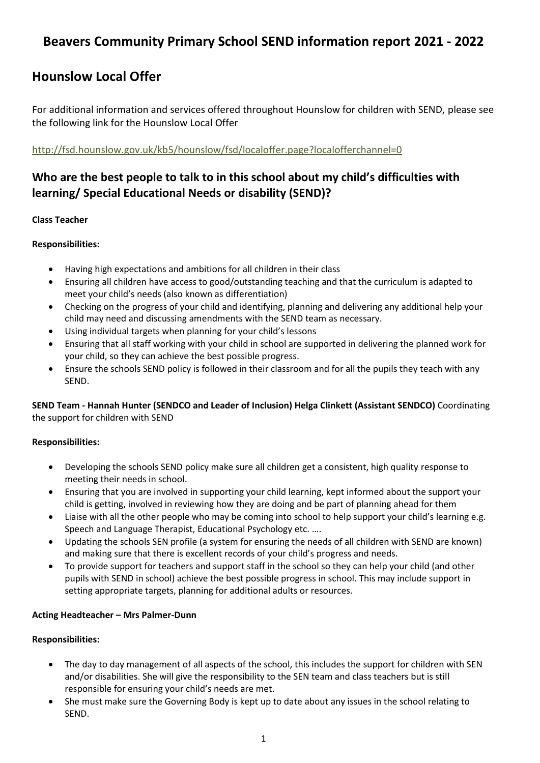# **Beavers Community Primary School SEND information report 2021 - 2022**

# **Hounslow Local Offer**

For additional information and services offered throughout Hounslow for children with SEND, please see the following link for the Hounslow Local Offer

#### <http://fsd.hounslow.gov.uk/kb5/hounslow/fsd/localoffer.page?localofferchannel=0>

# **Who are the best people to talk to in this school about my child's difficulties with learning/ Special Educational Needs or disability (SEND)?**

#### **Class Teacher**

#### **Responsibilities:**

- Having high expectations and ambitions for all children in their class
- Ensuring all children have access to good/outstanding teaching and that the curriculum is adapted to meet your child's needs (also known as differentiation)
- Checking on the progress of your child and identifying, planning and delivering any additional help your child may need and discussing amendments with the SEND team as necessary.
- Using individual targets when planning for your child's lessons
- Ensuring that all staff working with your child in school are supported in delivering the planned work for your child, so they can achieve the best possible progress.
- Ensure the schools SEND policy is followed in their classroom and for all the pupils they teach with any SEND.

**SEND Team - Hannah Hunter (SENDCO and Leader of Inclusion) Helga Clinkett (Assistant SENDCO)** Coordinating the support for children with SEND

#### **Responsibilities:**

- Developing the schools SEND policy make sure all children get a consistent, high quality response to meeting their needs in school.
- Ensuring that you are involved in supporting your child learning, kept informed about the support your child is getting, involved in reviewing how they are doing and be part of planning ahead for them
- Liaise with all the other people who may be coming into school to help support your child's learning e.g. Speech and Language Therapist, Educational Psychology etc. ….
- Updating the schools SEN profile (a system for ensuring the needs of all children with SEND are known) and making sure that there is excellent records of your child's progress and needs.
- To provide support for teachers and support staff in the school so they can help your child (and other pupils with SEND in school) achieve the best possible progress in school. This may include support in setting appropriate targets, planning for additional adults or resources.

#### **Acting Headteacher – Mrs Palmer-Dunn**

#### **Responsibilities:**

- The day to day management of all aspects of the school, this includes the support for children with SEN and/or disabilities. She will give the responsibility to the SEN team and class teachers but is still responsible for ensuring your child's needs are met.
- She must make sure the Governing Body is kept up to date about any issues in the school relating to SEND.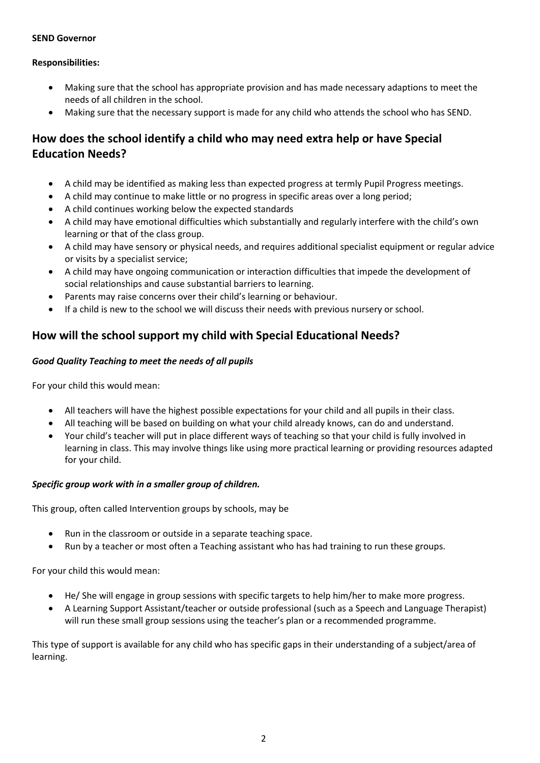#### **SEND Governor**

#### **Responsibilities:**

- Making sure that the school has appropriate provision and has made necessary adaptions to meet the needs of all children in the school.
- Making sure that the necessary support is made for any child who attends the school who has SEND.

# **How does the school identify a child who may need extra help or have Special Education Needs?**

- A child may be identified as making less than expected progress at termly Pupil Progress meetings.
- A child may continue to make little or no progress in specific areas over a long period;
- A child continues working below the expected standards
- A child may have emotional difficulties which substantially and regularly interfere with the child's own learning or that of the class group.
- A child may have sensory or physical needs, and requires additional specialist equipment or regular advice or visits by a specialist service;
- A child may have ongoing communication or interaction difficulties that impede the development of social relationships and cause substantial barriers to learning.
- Parents may raise concerns over their child's learning or behaviour.
- If a child is new to the school we will discuss their needs with previous nursery or school.

### **How will the school support my child with Special Educational Needs?**

#### *Good Quality Teaching to meet the needs of all pupils*

For your child this would mean:

- All teachers will have the highest possible expectations for your child and all pupils in their class.
- All teaching will be based on building on what your child already knows, can do and understand.
- Your child's teacher will put in place different ways of teaching so that your child is fully involved in learning in class. This may involve things like using more practical learning or providing resources adapted for your child.

#### *Specific group work with in a smaller group of children.*

This group, often called Intervention groups by schools, may be

- Run in the classroom or outside in a separate teaching space.
- Run by a teacher or most often a Teaching assistant who has had training to run these groups.

For your child this would mean:

- He/ She will engage in group sessions with specific targets to help him/her to make more progress.
- A Learning Support Assistant/teacher or outside professional (such as a Speech and Language Therapist) will run these small group sessions using the teacher's plan or a recommended programme.

This type of support is available for any child who has specific gaps in their understanding of a subject/area of learning.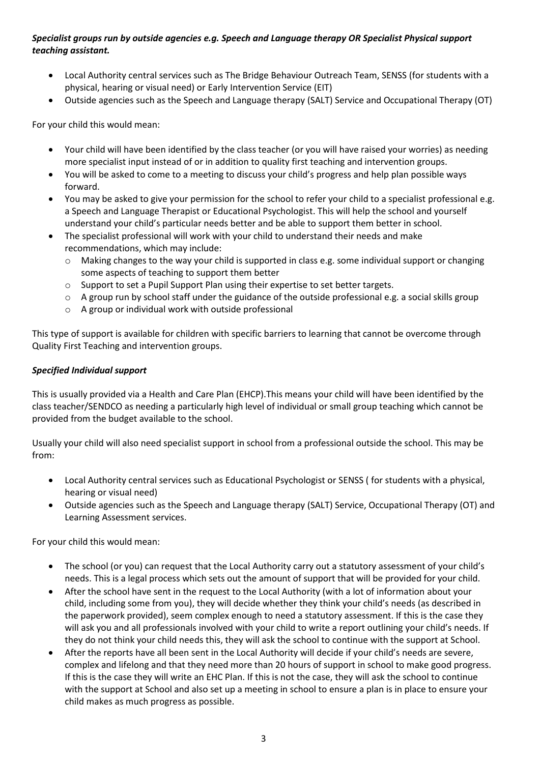#### *Specialist groups run by outside agencies e.g. Speech and Language therapy OR Specialist Physical support teaching assistant.*

- Local Authority central services such as The Bridge Behaviour Outreach Team, SENSS (for students with a physical, hearing or visual need) or Early Intervention Service (EIT)
- Outside agencies such as the Speech and Language therapy (SALT) Service and Occupational Therapy (OT)

For your child this would mean:

- Your child will have been identified by the class teacher (or you will have raised your worries) as needing more specialist input instead of or in addition to quality first teaching and intervention groups.
- You will be asked to come to a meeting to discuss your child's progress and help plan possible ways forward.
- You may be asked to give your permission for the school to refer your child to a specialist professional e.g. a Speech and Language Therapist or Educational Psychologist. This will help the school and yourself understand your child's particular needs better and be able to support them better in school.
- The specialist professional will work with your child to understand their needs and make recommendations, which may include:
	- o Making changes to the way your child is supported in class e.g. some individual support or changing some aspects of teaching to support them better
	- $\circ$  Support to set a Pupil Support Plan using their expertise to set better targets.
	- $\circ$  A group run by school staff under the guidance of the outside professional e.g. a social skills group
	- o A group or individual work with outside professional

This type of support is available for children with specific barriers to learning that cannot be overcome through Quality First Teaching and intervention groups.

#### *Specified Individual support*

This is usually provided via a Health and Care Plan (EHCP).This means your child will have been identified by the class teacher/SENDCO as needing a particularly high level of individual or small group teaching which cannot be provided from the budget available to the school.

Usually your child will also need specialist support in school from a professional outside the school. This may be from:

- Local Authority central services such as Educational Psychologist or SENSS ( for students with a physical, hearing or visual need)
- Outside agencies such as the Speech and Language therapy (SALT) Service, Occupational Therapy (OT) and Learning Assessment services.

For your child this would mean:

- The school (or you) can request that the Local Authority carry out a statutory assessment of your child's needs. This is a legal process which sets out the amount of support that will be provided for your child.
- After the school have sent in the request to the Local Authority (with a lot of information about your child, including some from you), they will decide whether they think your child's needs (as described in the paperwork provided), seem complex enough to need a statutory assessment. If this is the case they will ask you and all professionals involved with your child to write a report outlining your child's needs. If they do not think your child needs this, they will ask the school to continue with the support at School.
- After the reports have all been sent in the Local Authority will decide if your child's needs are severe, complex and lifelong and that they need more than 20 hours of support in school to make good progress. If this is the case they will write an EHC Plan. If this is not the case, they will ask the school to continue with the support at School and also set up a meeting in school to ensure a plan is in place to ensure your child makes as much progress as possible.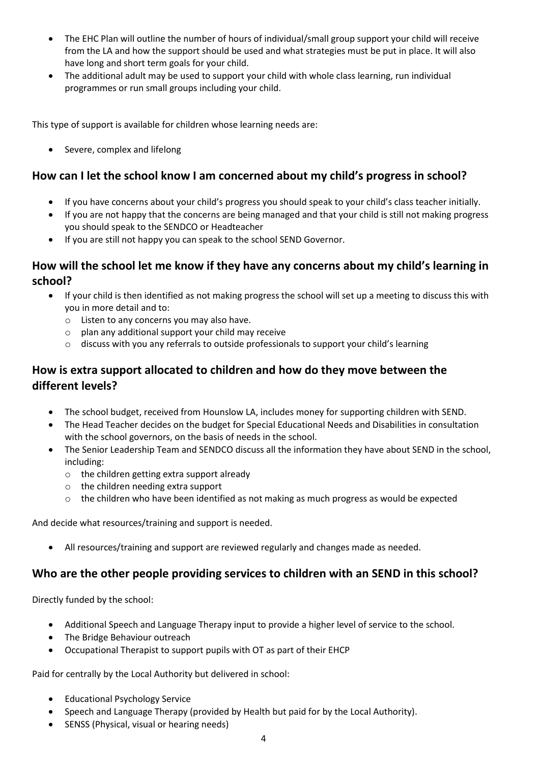- The EHC Plan will outline the number of hours of individual/small group support your child will receive from the LA and how the support should be used and what strategies must be put in place. It will also have long and short term goals for your child.
- The additional adult may be used to support your child with whole class learning, run individual programmes or run small groups including your child.

This type of support is available for children whose learning needs are:

• Severe, complex and lifelong

### **How can I let the school know I am concerned about my child's progress in school?**

- If you have concerns about your child's progress you should speak to your child's class teacher initially.
- If you are not happy that the concerns are being managed and that your child is still not making progress you should speak to the SENDCO or Headteacher
- If you are still not happy you can speak to the school SEND Governor.

### **How will the school let me know if they have any concerns about my child's learning in school?**

- If your child is then identified as not making progress the school will set up a meeting to discuss this with you in more detail and to:
	- o Listen to any concerns you may also have.
	- o plan any additional support your child may receive
	- $\circ$  discuss with you any referrals to outside professionals to support your child's learning

# **How is extra support allocated to children and how do they move between the different levels?**

- The school budget, received from Hounslow LA, includes money for supporting children with SEND.
- The Head Teacher decides on the budget for Special Educational Needs and Disabilities in consultation with the school governors, on the basis of needs in the school.
- The Senior Leadership Team and SENDCO discuss all the information they have about SEND in the school, including:
	- o the children getting extra support already
	- o the children needing extra support
	- o the children who have been identified as not making as much progress as would be expected

And decide what resources/training and support is needed.

• All resources/training and support are reviewed regularly and changes made as needed.

### **Who are the other people providing services to children with an SEND in this school?**

Directly funded by the school:

- Additional Speech and Language Therapy input to provide a higher level of service to the school.
- The Bridge Behaviour outreach
- Occupational Therapist to support pupils with OT as part of their EHCP

Paid for centrally by the Local Authority but delivered in school:

- Educational Psychology Service
- Speech and Language Therapy (provided by Health but paid for by the Local Authority).
- SENSS (Physical, visual or hearing needs)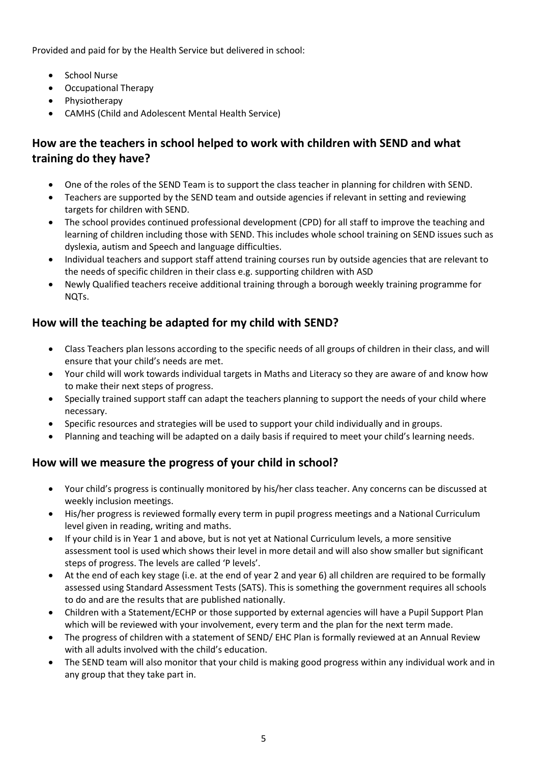Provided and paid for by the Health Service but delivered in school:

- School Nurse
- Occupational Therapy
- Physiotherapy
- CAMHS (Child and Adolescent Mental Health Service)

# **How are the teachers in school helped to work with children with SEND and what training do they have?**

- One of the roles of the SEND Team is to support the class teacher in planning for children with SEND.
- Teachers are supported by the SEND team and outside agencies if relevant in setting and reviewing targets for children with SEND.
- The school provides continued professional development (CPD) for all staff to improve the teaching and learning of children including those with SEND. This includes whole school training on SEND issues such as dyslexia, autism and Speech and language difficulties.
- Individual teachers and support staff attend training courses run by outside agencies that are relevant to the needs of specific children in their class e.g. supporting children with ASD
- Newly Qualified teachers receive additional training through a borough weekly training programme for NOT<sub>s</sub>.

# **How will the teaching be adapted for my child with SEND?**

- Class Teachers plan lessons according to the specific needs of all groups of children in their class, and will ensure that your child's needs are met.
- Your child will work towards individual targets in Maths and Literacy so they are aware of and know how to make their next steps of progress.
- Specially trained support staff can adapt the teachers planning to support the needs of your child where necessary.
- Specific resources and strategies will be used to support your child individually and in groups.
- Planning and teaching will be adapted on a daily basis if required to meet your child's learning needs.

# **How will we measure the progress of your child in school?**

- Your child's progress is continually monitored by his/her class teacher. Any concerns can be discussed at weekly inclusion meetings.
- His/her progress is reviewed formally every term in pupil progress meetings and a National Curriculum level given in reading, writing and maths.
- If your child is in Year 1 and above, but is not yet at National Curriculum levels, a more sensitive assessment tool is used which shows their level in more detail and will also show smaller but significant steps of progress. The levels are called 'P levels'.
- At the end of each key stage (i.e. at the end of year 2 and year 6) all children are required to be formally assessed using Standard Assessment Tests (SATS). This is something the government requires all schools to do and are the results that are published nationally.
- Children with a Statement/ECHP or those supported by external agencies will have a Pupil Support Plan which will be reviewed with your involvement, every term and the plan for the next term made.
- The progress of children with a statement of SEND/ EHC Plan is formally reviewed at an Annual Review with all adults involved with the child's education.
- The SEND team will also monitor that your child is making good progress within any individual work and in any group that they take part in.